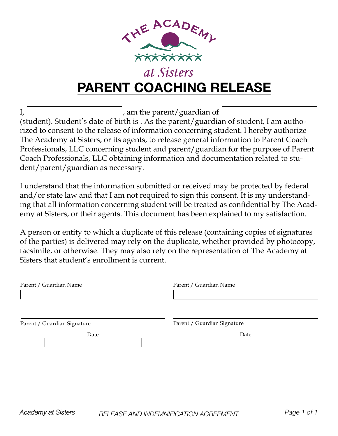

# **PARENT COACHING RELEASE**

I, am the parent/guardian of

(student). Student's date of birth is . As the parent/guardian of student, I am authorized to consent to the release of information concerning student. I hereby authorize The Academy at Sisters, or its agents, to release general information to Parent Coach Professionals, LLC concerning student and parent/guardian for the purpose of Parent Coach Professionals, LLC obtaining information and documentation related to student/parent/guardian as necessary.

I understand that the information submitted or received may be protected by federal and/or state law and that I am not required to sign this consent. It is my understanding that all information concerning student will be treated as confidential by The Academy at Sisters, or their agents. This document has been explained to my satisfaction.

A person or entity to which a duplicate of this release (containing copies of signatures of the parties) is delivered may rely on the duplicate, whether provided by photocopy, facsimile, or otherwise. They may also rely on the representation of The Academy at Sisters that student's enrollment is current.

| Parent / Guardian Name      | Parent / Guardian Name      |
|-----------------------------|-----------------------------|
| Parent / Guardian Signature | Parent / Guardian Signature |
| Date                        | Date                        |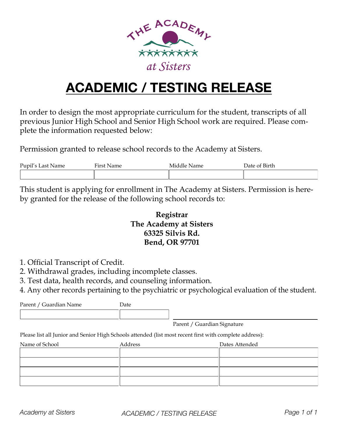

# **ACADEMIC / TESTING RELEASE**

In order to design the most appropriate curriculum for the student, transcripts of all previous Junior High School and Senior High School work are required. Please complete the information requested below:

Permission granted to release school records to the Academy at Sisters.

| Pupil's Last Name | First Name | Middle Name | Date of Birth |
|-------------------|------------|-------------|---------------|
|                   |            |             |               |

This student is applying for enrollment in The Academy at Sisters. Permission is hereby granted for the release of the following school records to:

### **Registrar The Academy at Sisters 63325 Silvis Rd. Bend, OR 97701**

- 1. Official Transcript of Credit.
- 2. Withdrawal grades, including incomplete classes.
- 3. Test data, health records, and counseling information.
- 4. Any other records pertaining to the psychiatric or psychological evaluation of the student.

Parent / Guardian Name Date

Parent / Guardian Signature

Please list all Junior and Senior High Schools attended (list most recent first with complete address):

| Name of School | Address | Dates Attended |
|----------------|---------|----------------|
|                |         |                |
|                |         |                |
|                |         |                |
|                |         |                |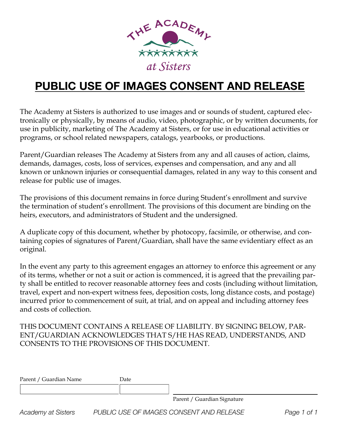

## **PUBLIC USE OF IMAGES CONSENT AND RELEASE**

The Academy at Sisters is authorized to use images and or sounds of student, captured electronically or physically, by means of audio, video, photographic, or by written documents, for use in publicity, marketing of The Academy at Sisters, or for use in educational activities or programs, or school related newspapers, catalogs, yearbooks, or productions.

Parent/Guardian releases The Academy at Sisters from any and all causes of action, claims, demands, damages, costs, loss of services, expenses and compensation, and any and all known or unknown injuries or consequential damages, related in any way to this consent and release for public use of images.

The provisions of this document remains in force during Student's enrollment and survive the termination of student's enrollment. The provisions of this document are binding on the heirs, executors, and administrators of Student and the undersigned.

A duplicate copy of this document, whether by photocopy, facsimile, or otherwise, and containing copies of signatures of Parent/Guardian, shall have the same evidentiary effect as an original.

In the event any party to this agreement engages an attorney to enforce this agreement or any of its terms, whether or not a suit or action is commenced, it is agreed that the prevailing party shall be entitled to recover reasonable attorney fees and costs (including without limitation, travel, expert and non-expert witness fees, deposition costs, long distance costs, and postage) incurred prior to commencement of suit, at trial, and on appeal and including attorney fees and costs of collection.

#### THIS DOCUMENT CONTAINS A RELEASE OF LIABILITY. BY SIGNING BELOW, PAR-ENT/GUARDIAN ACKNOWLEDGES THAT S/HE HAS READ, UNDERSTANDS, AND CONSENTS TO THE PROVISIONS OF THIS DOCUMENT.

| Parent / Guardian Name | Date |                             |
|------------------------|------|-----------------------------|
|                        |      |                             |
|                        |      | Parent / Guardian Signature |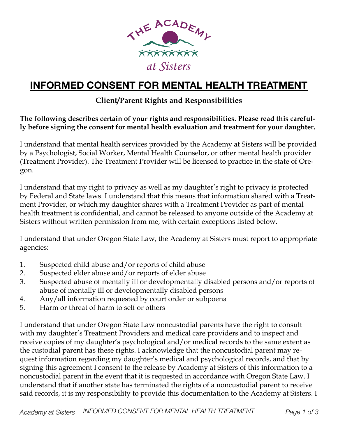

## **INFORMED CONSENT FOR MENTAL HEALTH TREATMENT**

## **Client/Parent Rights and Responsibilities**

**The following describes certain of your rights and responsibilities. Please read this carefully before signing the consent for mental health evaluation and treatment for your daughter.**

I understand that mental health services provided by the Academy at Sisters will be provided by a Psychologist, Social Worker, Mental Health Counselor, or other mental health provider (Treatment Provider). The Treatment Provider will be licensed to practice in the state of Oregon.

I understand that my right to privacy as well as my daughter's right to privacy is protected by Federal and State laws. I understand that this means that information shared with a Treatment Provider, or which my daughter shares with a Treatment Provider as part of mental health treatment is confidential, and cannot be released to anyone outside of the Academy at Sisters without written permission from me, with certain exceptions listed below.

I understand that under Oregon State Law, the Academy at Sisters must report to appropriate agencies:

- 1. Suspected child abuse and/or reports of child abuse
- 2. Suspected elder abuse and/or reports of elder abuse
- 3. Suspected abuse of mentally ill or developmentally disabled persons and/or reports of abuse of mentally ill or developmentally disabled persons
- 4. Any/all information requested by court order or subpoena
- 5. Harm or threat of harm to self or others

I understand that under Oregon State Law noncustodial parents have the right to consult with my daughter's Treatment Providers and medical care providers and to inspect and receive copies of my daughter's psychological and/or medical records to the same extent as the custodial parent has these rights. I acknowledge that the noncustodial parent may request information regarding my daughter's medical and psychological records, and that by signing this agreement I consent to the release by Academy at Sisters of this information to a noncustodial parent in the event that it is requested in accordance with Oregon State Law. I understand that if another state has terminated the rights of a noncustodial parent to receive said records, it is my responsibility to provide this documentation to the Academy at Sisters. I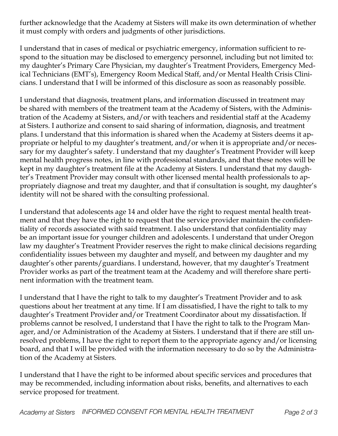further acknowledge that the Academy at Sisters will make its own determination of whether it must comply with orders and judgments of other jurisdictions.

I understand that in cases of medical or psychiatric emergency, information sufficient to respond to the situation may be disclosed to emergency personnel, including but not limited to: my daughter's Primary Care Physician, my daughter's Treatment Providers, Emergency Medical Technicians (EMT's), Emergency Room Medical Staff, and/or Mental Health Crisis Clinicians. I understand that I will be informed of this disclosure as soon as reasonably possible.

I understand that diagnosis, treatment plans, and information discussed in treatment may be shared with members of the treatment team at the Academy of Sisters, with the Administration of the Academy at Sisters, and/or with teachers and residential staff at the Academy at Sisters. I authorize and consent to said sharing of information, diagnosis, and treatment plans. I understand that this information is shared when the Academy at Sisters deems it appropriate or helpful to my daughter's treatment, and/or when it is appropriate and/or necessary for my daughter's safety. I understand that my daughter's Treatment Provider will keep mental health progress notes, in line with professional standards, and that these notes will be kept in my daughter's treatment file at the Academy at Sisters. I understand that my daughter's Treatment Provider may consult with other licensed mental health professionals to appropriately diagnose and treat my daughter, and that if consultation is sought, my daughter's identity will not be shared with the consulting professional.

I understand that adolescents age 14 and older have the right to request mental health treatment and that they have the right to request that the service provider maintain the confidentiality of records associated with said treatment. I also understand that confidentiality may be an important issue for younger children and adolescents. I understand that under Oregon law my daughter's Treatment Provider reserves the right to make clinical decisions regarding confidentiality issues between my daughter and myself, and between my daughter and my daughter's other parents/guardians. I understand, however, that my daughter's Treatment Provider works as part of the treatment team at the Academy and will therefore share pertinent information with the treatment team.

I understand that I have the right to talk to my daughter's Treatment Provider and to ask questions about her treatment at any time. If I am dissatisfied, I have the right to talk to my daughter's Treatment Provider and/or Treatment Coordinator about my dissatisfaction. If problems cannot be resolved, I understand that I have the right to talk to the Program Manager, and/or Administration of the Academy at Sisters. I understand that if there are still unresolved problems, I have the right to report them to the appropriate agency and/or licensing board, and that I will be provided with the information necessary to do so by the Administration of the Academy at Sisters.

I understand that I have the right to be informed about specific services and procedures that may be recommended, including information about risks, benefits, and alternatives to each service proposed for treatment.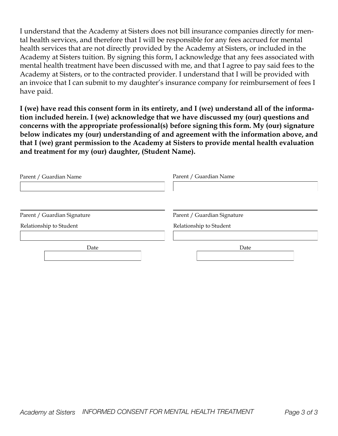I understand that the Academy at Sisters does not bill insurance companies directly for mental health services, and therefore that I will be responsible for any fees accrued for mental health services that are not directly provided by the Academy at Sisters, or included in the Academy at Sisters tuition. By signing this form, I acknowledge that any fees associated with mental health treatment have been discussed with me, and that I agree to pay said fees to the Academy at Sisters, or to the contracted provider. I understand that I will be provided with an invoice that I can submit to my daughter's insurance company for reimbursement of fees I have paid.

**I (we) have read this consent form in its entirety, and I (we) understand all of the information included herein. I (we) acknowledge that we have discussed my (our) questions and concerns with the appropriate professional(s) before signing this form. My (our) signature below indicates my (our) understanding of and agreement with the information above, and that I (we) grant permission to the Academy at Sisters to provide mental health evaluation and treatment for my (our) daughter, (Student Name).**

| Parent / Guardian Name                                 | Parent / Guardian Name                                 |
|--------------------------------------------------------|--------------------------------------------------------|
| Parent / Guardian Signature<br>Relationship to Student | Parent / Guardian Signature<br>Relationship to Student |
| Date                                                   | Date                                                   |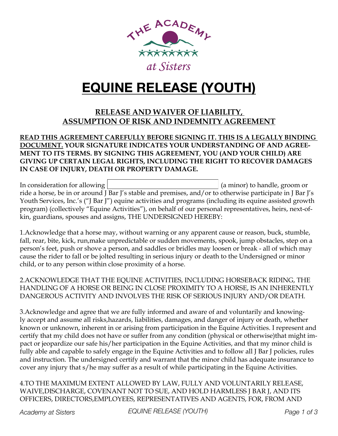

## **EQUINE RELEASE (YOUTH)**

### **RELEASE AND WAIVER OF LIABILITY, ASSUMPTION OF RISK AND INDEMNITY AGREEMENT**

#### **READ THIS AGREEMENT CAREFULLY BEFORE SIGNING IT. THIS IS A LEGALLY BINDING DOCUMENT. YOUR SIGNATURE INDICATES YOUR UNDERSTANDING OF AND AGREE-MENT TO ITS TERMS. BY SIGNING THIS AGREEMENT, YOU (AND YOUR CHILD) ARE GIVING UP CERTAIN LEGAL RIGHTS, INCLUDING THE RIGHT TO RECOVER DAMAGES IN CASE OF INJURY, DEATH OR PROPERTY DAMAGE.**

In consideration for allowing  $\vert$  (a minor) to handle, groom or ride a horse, be in or around J Bar J's stable and premises, and/or to otherwise participate in J Bar J's Youth Services, Inc.'s ("J Bar J") equine activities and programs (including its equine assisted growth program) (collectively "Equine Activities"), on behalf of our personal representatives, heirs, next-ofkin, guardians, spouses and assigns, THE UNDERSIGNED HEREBY:

1.Acknowledge that a horse may, without warning or any apparent cause or reason, buck, stumble, fall, rear, bite, kick, run,make unpredictable or sudden movements, spook, jump obstacles, step on a person's feet, push or shove a person, and saddles or bridles may loosen or break - all of which may cause the rider to fall or be jolted resulting in serious injury or death to the Undersigned or minor child, or to any person within close proximity of a horse.

2.ACKNOWLEDGE THAT THE EQUINE ACTIVITIES, INCLUDING HORSEBACK RIDING, THE HANDLING OF A HORSE OR BEING IN CLOSE PROXIMITY TO A HORSE, IS AN INHERENTLY DANGEROUS ACTIVITY AND INVOLVES THE RISK OF SERIOUS INJURY AND/OR DEATH.

3.Acknowledge and agree that we are fully informed and aware of and voluntarily and knowingly accept and assume all risks,hazards, liabilities, damages, and danger of injury or death, whether known or unknown, inherent in or arising from participation in the Equine Activities. I represent and certify that my child does not have or suffer from any condition (physical or otherwise)that might impact or jeopardize our safe his/her participation in the Equine Activities, and that my minor child is fully able and capable to safely engage in the Equine Activities and to follow all J Bar J policies, rules and instruction. The undersigned certify and warrant that the minor child has adequate insurance to cover any injury that s/he may suffer as a result of while participating in the Equine Activities.

4.TO THE MAXIMUM EXTENT ALLOWED BY LAW, FULLY AND VOLUNTARILY RELEASE, WAIVE,DISCHARGE, COVENANT NOT TO SUE, AND HOLD HARMLESS J BAR J, AND ITS OFFICERS, DIRECTORS,EMPLOYEES, REPRESENTATIVES AND AGENTS, FOR, FROM AND

*Academy at Sisters EQUINE RELEASE (YOUTH) Page 1 of 3*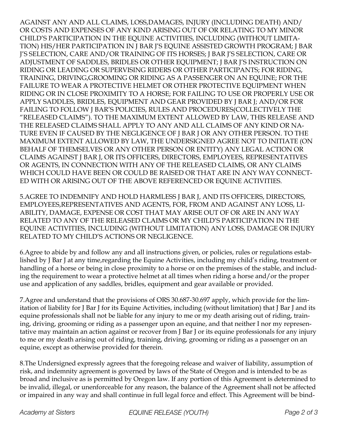AGAINST ANY AND ALL CLAIMS, LOSS,DAMAGES, INJURY (INCLUDING DEATH) AND/ OR COSTS AND EXPENSES OF ANY KIND ARISING OUT OF OR RELATING TO MY MINOR CHILD'S PARTICIPATION IN THE EQUINE ACTIVITIES, INCLUDING (WITHOUT LIMITA-TION) HIS/HER PARTICIPATION IN J BAR J'S EQUINE ASSISTED GROWTH PROGRAM; J BAR J'S SELECTION, CARE AND/OR TRAINING OF ITS HORSES; J BAR J'S SELECTION, CARE OR ADJUSTMENT OF SADDLES, BRIDLES OR OTHER EQUIPMENT; J BAR J'S INSTRUCTION ON RIDING OR LEADING OR SUPERVISING RIDERS OR OTHER PARTICIPANTS; FOR RIDING, TRAINING, DRIVING,GROOMING OR RIDING AS A PASSENGER ON AN EQUINE; FOR THE FAILURE TO WEAR A PROTECTIVE HELMET OR OTHER PROTECTIVE EQUIPMENT WHEN RIDING OR IN CLOSE PROXIMITY TO A HORSE; FOR FAILING TO USE OR PROPERLY USE OR APPLY SADDLES, BRIDLES, EQUIPMENT AND GEAR PROVIDED BY J BAR J; AND/OR FOR FAILING TO FOLLOW J BAR'S POLICIES, RULES AND PROCEDURES(COLLECTIVELY THE "RELEASED CLAIMS"). TO THE MAXIMUM EXTENT ALLOWED BY LAW, THIS RELEASE AND THE RELEASED CLAIMS SHALL APPLY TO ANY AND ALL CLAIMS OF ANY KIND OR NA-TURE EVEN IF CAUSED BY THE NEGLIGENCE OF J BAR J OR ANY OTHER PERSON. TO THE MAXIMUM EXTENT ALLOWED BY LAW, THE UNDERSIGNED AGREE NOT TO INITIATE (ON BEHALF OF THEMSELVES OR ANY OTHER PERSON OR ENTITY) ANY LEGAL ACTION OR CLAIMS AGAINST J BAR J, OR ITS OFFICERS, DIRECTORS, EMPLOYEES, REPRESENTATIVES OR AGENTS, IN CONNECTION WITH ANY OF THE RELEASED CLAIMS, OR ANY CLAIMS WHICH COULD HAVE BEEN OR COULD BE RAISED OR THAT ARE IN ANY WAY CONNECT-ED WITH OR ARISING OUT OF THE ABOVE REFERENCED OR EQUINE ACTIVITIES.

5.AGREE TO INDEMNIFY AND HOLD HARMLESS J BAR J, AND ITS OFFICERS, DIRECTORS, EMPLOYEES,REPRESENTATIVES AND AGENTS, FOR, FROM AND AGAINST ANY LOSS, LI-ABILITY, DAMAGE, EXPENSE OR COST THAT MAY ARISE OUT OF OR ARE IN ANY WAY RELATED TO ANY OF THE RELEASED CLAIMS OR MY CHILD'S PARTICIPATION IN THE EQUINE ACTIVITIES, INCLUDING (WITHOUT LIMITATION) ANY LOSS, DAMAGE OR INJURY RELATED TO MY CHILD'S ACTIONS OR NEGLIGENCE.

6.Agree to abide by and follow any and all instructions given, or policies, rules or regulations established by J Bar J at any time,regarding the Equine Activities, including my child's riding, treatment or handling of a horse or being in close proximity to a horse or on the premises of the stable, and including the requirement to wear a protective helmet at all times when riding a horse and/or the proper use and application of any saddles, bridles, equipment and gear available or provided.

7.Agree and understand that the provisions of ORS 30.687-30.697 apply, which provide for the limitation of liability for J Bar J for its Equine Activities, including (without limitation) that J Bar J and its equine professionals shall not be liable for any injury to me or my death arising out of riding, training, driving, grooming or riding as a passenger upon an equine, and that neither I nor my representative may maintain an action against or recover from J Bar J or its equine professionals for any injury to me or my death arising out of riding, training, driving, grooming or riding as a passenger on an equine, except as otherwise provided for therein.

8.The Undersigned expressly agrees that the foregoing release and waiver of liability, assumption of risk, and indemnity agreement is governed by laws of the State of Oregon and is intended to be as broad and inclusive as is permitted by Oregon law. If any portion of this Agreement is determined to be invalid, illegal, or unenforceable for any reason, the balance of the Agreement shall not be affected or impaired in any way and shall continue in full legal force and effect. This Agreement will be bind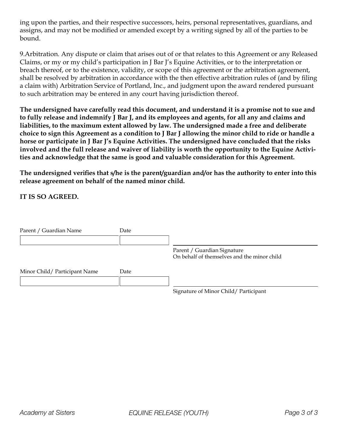ing upon the parties, and their respective successors, heirs, personal representatives, guardians, and assigns, and may not be modified or amended except by a writing signed by all of the parties to be bound.

9.Arbitration. Any dispute or claim that arises out of or that relates to this Agreement or any Released Claims, or my or my child's participation in J Bar J's Equine Activities, or to the interpretation or breach thereof, or to the existence, validity, or scope of this agreement or the arbitration agreement, shall be resolved by arbitration in accordance with the then effective arbitration rules of (and by filing a claim with) Arbitration Service of Portland, Inc., and judgment upon the award rendered pursuant to such arbitration may be entered in any court having jurisdiction thereof.

**The undersigned have carefully read this document, and understand it is a promise not to sue and to fully release and indemnify J Bar J, and its employees and agents, for all any and claims and liabilities, to the maximum extent allowed by law. The undersigned made a free and deliberate choice to sign this Agreement as a condition to J Bar J allowing the minor child to ride or handle a horse or participate in J Bar J's Equine Activities. The undersigned have concluded that the risks involved and the full release and waiver of liability is worth the opportunity to the Equine Activities and acknowledge that the same is good and valuable consideration for this Agreement.**

**The undersigned verifies that s/he is the parent/guardian and/or has the authority to enter into this release agreement on behalf of the named minor child.**

**IT IS SO AGREED.**

| Parent / Guardian Name       | Date |                                                                            |
|------------------------------|------|----------------------------------------------------------------------------|
|                              |      | Parent / Guardian Signature<br>On behalf of themselves and the minor child |
| Minor Child/Participant Name | Date |                                                                            |
|                              |      | Signature of Minor Child/Participant                                       |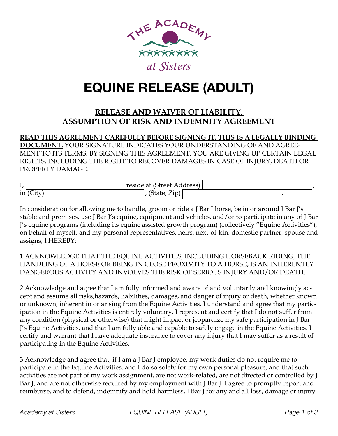

## **EQUINE RELEASE (ADULT)**

### **RELEASE AND WAIVER OF LIABILITY, ASSUMPTION OF RISK AND INDEMNITY AGREEMENT**

**READ THIS AGREEMENT CAREFULLY BEFORE SIGNING IT. THIS IS A LEGALLY BINDING DOCUMENT.** YOUR SIGNATURE INDICATES YOUR UNDERSTANDING OF AND AGREE-MENT TO ITS TERMS. BY SIGNING THIS AGREEMENT, YOU ARE GIVING UP CERTAIN LEGAL RIGHTS, INCLUDING THE RIGHT TO RECOVER DAMAGES IN CASE OF INJURY, DEATH OR PROPERTY DAMAGE.

| ı,          | reside at (Street Address)                 |  |
|-------------|--------------------------------------------|--|
| in $(City)$ | (State, Zip) <sup><math>\perp</math></sup> |  |

In consideration for allowing me to handle, groom or ride a J Bar J horse, be in or around J Bar J's stable and premises, use J Bar J's equine, equipment and vehicles, and/or to participate in any of J Bar J's equine programs (including its equine assisted growth program) (collectively "Equine Activities"), on behalf of myself, and my personal representatives, heirs, next-of-kin, domestic partner, spouse and assigns, I HEREBY:

1.ACKNOWLEDGE THAT THE EQUINE ACTIVITIES, INCLUDING HORSEBACK RIDING, THE HANDLING OF A HORSE OR BEING IN CLOSE PROXIMITY TO A HORSE, IS AN INHERENTLY DANGEROUS ACTIVITY AND INVOLVES THE RISK OF SERIOUS INJURY AND/OR DEATH.

2.Acknowledge and agree that I am fully informed and aware of and voluntarily and knowingly accept and assume all risks,hazards, liabilities, damages, and danger of injury or death, whether known or unknown, inherent in or arising from the Equine Activities. I understand and agree that my participation in the Equine Activities is entirely voluntary. I represent and certify that I do not suffer from any condition (physical or otherwise) that might impact or jeopardize my safe participation in J Bar J's Equine Activities, and that I am fully able and capable to safely engage in the Equine Activities. I certify and warrant that I have adequate insurance to cover any injury that I may suffer as a result of participating in the Equine Activities.

3.Acknowledge and agree that, if I am a J Bar J employee, my work duties do not require me to participate in the Equine Activities, and I do so solely for my own personal pleasure, and that such activities are not part of my work assignment, are not work-related, are not directed or controlled by J Bar J, and are not otherwise required by my employment with J Bar J. I agree to promptly report and reimburse, and to defend, indemnify and hold harmless, J Bar J for any and all loss, damage or injury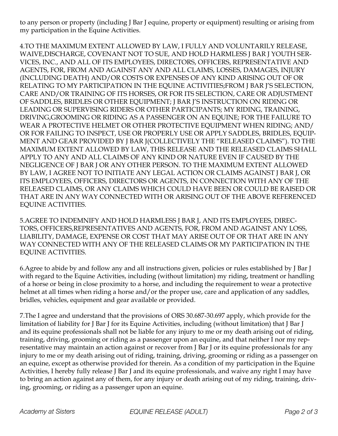to any person or property (including J Bar J equine, property or equipment) resulting or arising from my participation in the Equine Activities.

4.TO THE MAXIMUM EXTENT ALLOWED BY LAW, I FULLY AND VOLUNTARILY RELEASE, WAIVE,DISCHARGE, COVENANT NOT TO SUE, AND HOLD HARMLESS J BAR J YOUTH SER-VICES, INC., AND ALL OF ITS EMPLOYEES, DIRECTORS, OFFICERS, REPRESENTATIVE AND AGENTS, FOR, FROM AND AGAINST ANY AND ALL CLAIMS, LOSSES, DAMAGES, INJURY (INCLUDING DEATH) AND/OR COSTS OR EXPENSES OF ANY KIND ARISING OUT OF OR RELATING TO MY PARTICIPATION IN THE EQUINE ACTIVITIES;FROM J BAR J'S SELECTION, CARE AND/OR TRAINING OF ITS HORSES, OR FOR ITS SELECTION, CARE OR ADJUSTMENT OF SADDLES, BRIDLES OR OTHER EQUIPMENT; J BAR J'S INSTRUCTION ON RIDING OR LEADING OR SUPERVISING RIDERS OR OTHER PARTICIPANTS; MY RIDING, TRAINING, DRIVING,GROOMING OR RIDING AS A PASSENGER ON AN EQUINE; FOR THE FAILURE TO WEAR A PROTECTIVE HELMET OR OTHER PROTECTIVE EQUIPMENT WHEN RIDING; AND/ OR FOR FAILING TO INSPECT, USE OR PROPERLY USE OR APPLY SADDLES, BRIDLES, EQUIP-MENT AND GEAR PROVIDED BY J BAR J(COLLECTIVELY THE "RELEASED CLAIMS"). TO THE MAXIMUM EXTENT ALLOWED BY LAW, THIS RELEASE AND THE RELEASED CLAIMS SHALL APPLY TO ANY AND ALL CLAIMS OF ANY KIND OR NATURE EVEN IF CAUSED BY THE NEGLIGENCE OF J BAR J OR ANY OTHER PERSON. TO THE MAXIMUM EXTENT ALLOWED BY LAW, I AGREE NOT TO INITIATE ANY LEGAL ACTION OR CLAIMS AGAINST J BAR J, OR ITS EMPLOYEES, OFFICERS, DIRECTORS OR AGENTS, IN CONNECTION WITH ANY OF THE RELEASED CLAIMS, OR ANY CLAIMS WHICH COULD HAVE BEEN OR COULD BE RAISED OR THAT ARE IN ANY WAY CONNECTED WITH OR ARISING OUT OF THE ABOVE REFERENCED EQUINE ACTIVITIES.

5.AGREE TO INDEMNIFY AND HOLD HARMLESS J BAR J, AND ITS EMPLOYEES, DIREC-TORS, OFFICERS,REPRESENTATIVES AND AGENTS, FOR, FROM AND AGAINST ANY LOSS, LIABILITY, DAMAGE, EXPENSE OR COST THAT MAY ARISE OUT OF OR THAT ARE IN ANY WAY CONNECTED WITH ANY OF THE RELEASED CLAIMS OR MY PARTICIPATION IN THE EQUINE ACTIVITIES.

6.Agree to abide by and follow any and all instructions given, policies or rules established by J Bar J with regard to the Equine Activities, including (without limitation) my riding, treatment or handling of a horse or being in close proximity to a horse, and including the requirement to wear a protective helmet at all times when riding a horse and/or the proper use, care and application of any saddles, bridles, vehicles, equipment and gear available or provided.

7.The I agree and understand that the provisions of ORS 30.687-30.697 apply, which provide for the limitation of liability for J Bar J for its Equine Activities, including (without limitation) that J Bar J and its equine professionals shall not be liable for any injury to me or my death arising out of riding, training, driving, grooming or riding as a passenger upon an equine, and that neither I nor my representative may maintain an action against or recover from J Bar J or its equine professionals for any injury to me or my death arising out of riding, training, driving, grooming or riding as a passenger on an equine, except as otherwise provided for therein. As a condition of my participation in the Equine Activities, I hereby fully release J Bar J and its equine professionals, and waive any right I may have to bring an action against any of them, for any injury or death arising out of my riding, training, driving, grooming, or riding as a passenger upon an equine.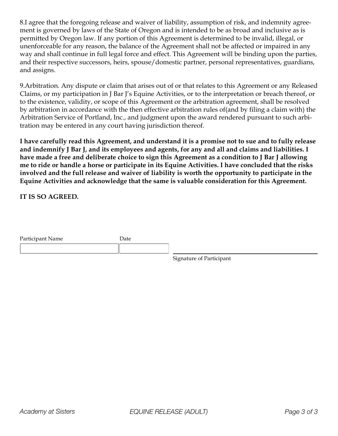8.I agree that the foregoing release and waiver of liability, assumption of risk, and indemnity agreement is governed by laws of the State of Oregon and is intended to be as broad and inclusive as is permitted by Oregon law. If any portion of this Agreement is determined to be invalid, illegal, or unenforceable for any reason, the balance of the Agreement shall not be affected or impaired in any way and shall continue in full legal force and effect. This Agreement will be binding upon the parties, and their respective successors, heirs, spouse/domestic partner, personal representatives, guardians, and assigns.

9.Arbitration. Any dispute or claim that arises out of or that relates to this Agreement or any Released Claims, or my participation in J Bar J's Equine Activities, or to the interpretation or breach thereof, or to the existence, validity, or scope of this Agreement or the arbitration agreement, shall be resolved by arbitration in accordance with the then effective arbitration rules of(and by filing a claim with) the Arbitration Service of Portland, Inc., and judgment upon the award rendered pursuant to such arbitration may be entered in any court having jurisdiction thereof.

**I have carefully read this Agreement, and understand it is a promise not to sue and to fully release and indemnify J Bar J, and its employees and agents, for any and all and claims and liabilities. I have made a free and deliberate choice to sign this Agreement as a condition to J Bar J allowing me to ride or handle a horse or participate in its Equine Activities. I have concluded that the risks involved and the full release and waiver of liability is worth the opportunity to participate in the Equine Activities and acknowledge that the same is valuable consideration for this Agreement.**

**IT IS SO AGREED.**

| Participant Name | Date |                                 |
|------------------|------|---------------------------------|
|                  |      |                                 |
|                  |      | <b>Signature of Participant</b> |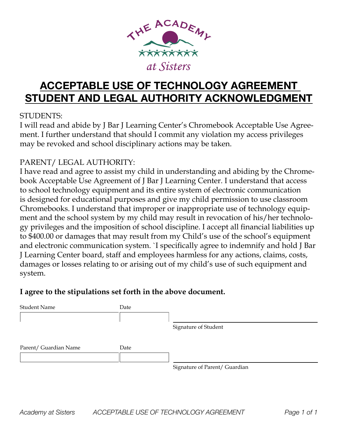

## **ACCEPTABLE USE OF TECHNOLOGY AGREEMENT STUDENT AND LEGAL AUTHORITY ACKNOWLEDGMENT**

### STUDENTS:

I will read and abide by J Bar J Learning Center's Chromebook Acceptable Use Agreement. I further understand that should I commit any violation my access privileges may be revoked and school disciplinary actions may be taken.

## PARENT/ LEGAL AUTHORITY:

I have read and agree to assist my child in understanding and abiding by the Chromebook Acceptable Use Agreement of J Bar J Learning Center. I understand that access to school technology equipment and its entire system of electronic communication is designed for educational purposes and give my child permission to use classroom Chromebooks. I understand that improper or inappropriate use of technology equipment and the school system by my child may result in revocation of his/her technology privileges and the imposition of school discipline. I accept all financial liabilities up to \$400.00 or damages that may result from my Child's use of the school's equipment and electronic communication system. `I specifically agree to indemnify and hold J Bar J Learning Center board, staff and employees harmless for any actions, claims, costs, damages or losses relating to or arising out of my child's use of such equipment and system.

## **I agree to the stipulations set forth in the above document.**

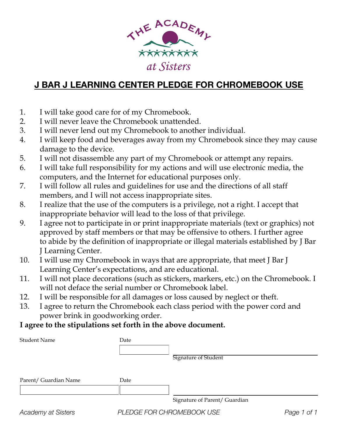

## **J BAR J LEARNING CENTER PLEDGE FOR CHROMEBOOK USE**

- 1. I will take good care for of my Chromebook.
- 2. I will never leave the Chromebook unattended.
- 3. I will never lend out my Chromebook to another individual.
- 4. I will keep food and beverages away from my Chromebook since they may cause damage to the device.
- 5. I will not disassemble any part of my Chromebook or attempt any repairs.
- 6. I will take full responsibility for my actions and will use electronic media, the computers, and the Internet for educational purposes only.
- 7. I will follow all rules and guidelines for use and the directions of all staff members, and I will not access inappropriate sites.
- 8. I realize that the use of the computers is a privilege, not a right. I accept that inappropriate behavior will lead to the loss of that privilege.
- 9. I agree not to participate in or print inappropriate materials (text or graphics) not approved by staff members or that may be offensive to others. I further agree to abide by the definition of inappropriate or illegal materials established by J Bar J Learning Center.
- 10. I will use my Chromebook in ways that are appropriate, that meet J Bar J Learning Center's expectations, and are educational.
- 11. I will not place decorations (such as stickers, markers, etc.) on the Chromebook. I will not deface the serial number or Chromebook label.
- 12. I will be responsible for all damages or loss caused by neglect or theft.
- 13. I agree to return the Chromebook each class period with the power cord and power brink in goodworking order.

## **I agree to the stipulations set forth in the above document.**

| <b>Student Name</b>   | Date | Signature of Student          |  |
|-----------------------|------|-------------------------------|--|
| Parent/ Guardian Name | Date |                               |  |
|                       |      | Signature of Parent/ Guardian |  |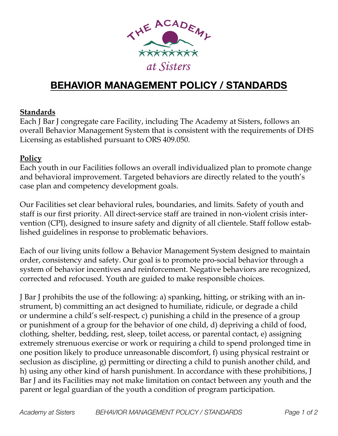

## **BEHAVIOR MANAGEMENT POLICY / STANDARDS**

#### **Standards**

Each J Bar J congregate care Facility, including The Academy at Sisters, follows an overall Behavior Management System that is consistent with the requirements of DHS Licensing as established pursuant to ORS 409.050.

#### **Policy**

Each youth in our Facilities follows an overall individualized plan to promote change and behavioral improvement. Targeted behaviors are directly related to the youth's case plan and competency development goals.

Our Facilities set clear behavioral rules, boundaries, and limits. Safety of youth and staff is our first priority. All direct-service staff are trained in non-violent crisis intervention (CPI), designed to insure safety and dignity of all clientele. Staff follow established guidelines in response to problematic behaviors.

Each of our living units follow a Behavior Management System designed to maintain order, consistency and safety. Our goal is to promote pro-social behavior through a system of behavior incentives and reinforcement. Negative behaviors are recognized, corrected and refocused. Youth are guided to make responsible choices.

J Bar J prohibits the use of the following: a) spanking, hitting, or striking with an instrument, b) committing an act designed to humiliate, ridicule, or degrade a child or undermine a child's self-respect, c) punishing a child in the presence of a group or punishment of a group for the behavior of one child, d) depriving a child of food, clothing, shelter, bedding, rest, sleep, toilet access, or parental contact, e) assigning extremely strenuous exercise or work or requiring a child to spend prolonged time in one position likely to produce unreasonable discomfort, f) using physical restraint or seclusion as discipline, g) permitting or directing a child to punish another child, and h) using any other kind of harsh punishment. In accordance with these prohibitions, J Bar J and its Facilities may not make limitation on contact between any youth and the parent or legal guardian of the youth a condition of program participation.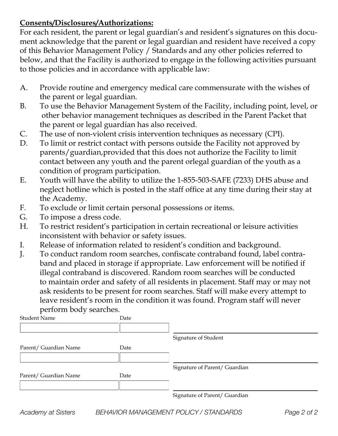### **Consents/Disclosures/Authorizations:**

For each resident, the parent or legal guardian's and resident's signatures on this document acknowledge that the parent or legal guardian and resident have received a copy of this Behavior Management Policy / Standards and any other policies referred to below, and that the Facility is authorized to engage in the following activities pursuant to those policies and in accordance with applicable law:

- A. Provide routine and emergency medical care commensurate with the wishes of the parent or legal guardian.
- B. To use the Behavior Management System of the Facility, including point, level, or other behavior management techniques as described in the Parent Packet that the parent or legal guardian has also received.
- C. The use of non-violent crisis intervention techniques as necessary (CPI).
- D. To limit or restrict contact with persons outside the Facility not approved by parents/guardian,provided that this does not authorize the Facility to limit contact between any youth and the parent orlegal guardian of the youth as a condition of program participation.
- E. Youth will have the ability to utilize the 1-855-503-SAFE (7233) DHS abuse and neglect hotline which is posted in the staff office at any time during their stay at the Academy.
- F. To exclude or limit certain personal possessions or items.
- G. To impose a dress code.
- H. To restrict resident's participation in certain recreational or leisure activities inconsistent with behavior or safety issues.
- I. Release of information related to resident's condition and background.
- J. To conduct random room searches, confiscate contraband found, label contraband and placed in storage if appropriate. Law enforcement will be notified if illegal contraband is discovered. Random room searches will be conducted to maintain order and safety of all residents in placement. Staff may or may not ask residents to be present for room searches. Staff will make every attempt to leave resident's room in the condition it was found. Program staff will never perform body searches.

| <b>Student Name</b>   | Date |                               |
|-----------------------|------|-------------------------------|
|                       |      |                               |
|                       |      | Signature of Student          |
| Parent/ Guardian Name | Date |                               |
|                       |      |                               |
|                       |      | Signature of Parent/ Guardian |
| Parent/ Guardian Name | Date |                               |
|                       |      |                               |
|                       |      | Signature of Parent/ Guardian |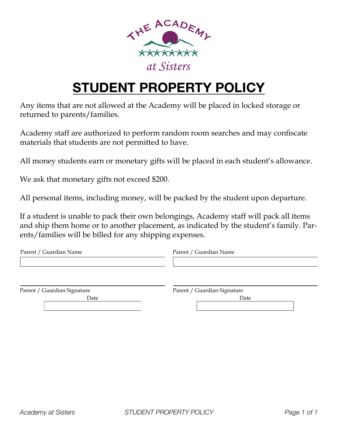

# **STUDENT PROPERTY POLICY**

Any items that are not allowed at the Academy will be placed in locked storage or returned to parents/families.

Academy staff are authorized to perform random room searches and may confiscate materials that students are not permitted to have.

All money students earn or monetary gifts will be placed in each student's allowance.

We ask that monetary gifts not exceed \$200.

All personal items, including money, will be packed by the student upon departure.

If a student is unable to pack their own belongings, Academy staff will pack all items and ship them home or to another placement, as indicated by the student's family. Parents/families will be billed for any shipping expenses.

| Parent / Guardian Name      | Parent / Guardian Name      |
|-----------------------------|-----------------------------|
|                             |                             |
|                             |                             |
|                             |                             |
| Parent / Guardian Signature | Parent / Guardian Signature |

Parent / Guardian Signature

Date **Date** Date **Date**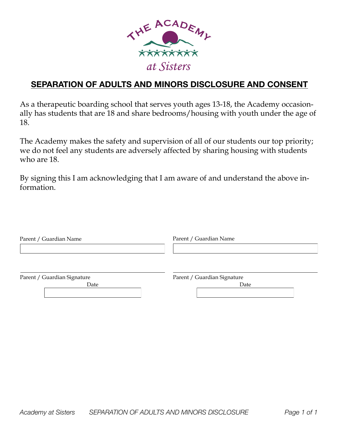

## **SEPARATION OF ADULTS AND MINORS DISCLOSURE AND CONSENT**

As a therapeutic boarding school that serves youth ages 13-18, the Academy occasionally has students that are 18 and share bedrooms/housing with youth under the age of 18.

The Academy makes the safety and supervision of all of our students our top priority; we do not feel any students are adversely affected by sharing housing with students who are 18.

By signing this I am acknowledging that I am aware of and understand the above information.

| Parent / Guardian Name      | Parent / Guardian Name      |
|-----------------------------|-----------------------------|
|                             |                             |
|                             |                             |
| Parent / Guardian Signature | Parent / Guardian Signature |
| Date                        | Date                        |